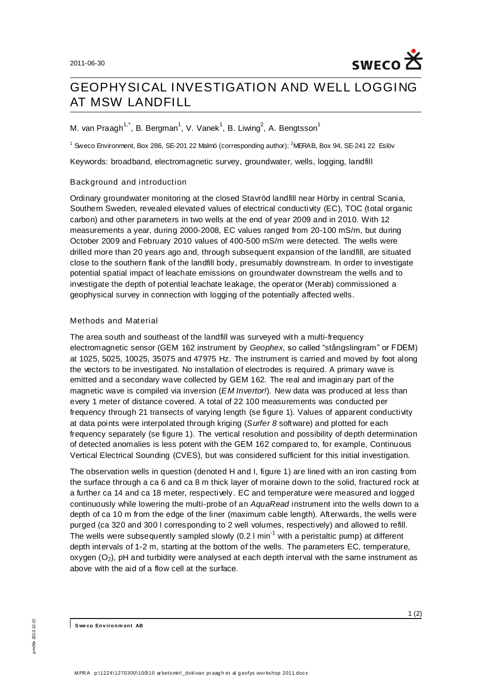

# GEOPHYSICAL INVESTIGATION AND WELL LOGGING AT MSW LANDFILL

M. van Praagh $^{1,*}$ , B. Bergman $^1$ , V. Vanek $^1$ , B. Liwing $^2$ , A. Bengtsson $^1$ 

<sup>1</sup> Sweco Environment, Box 286, SE-201 22 Malmö (corresponding author); <sup>2</sup>MERAB, Box 94, SE-241 22 Eslöv

Keywords: broadband, electromagnetic survey, groundwater, wells, logging, landfill

## Background and introduction

Ordinary groundwater monitoring at the closed Stavröd landfill near Hörby in central Scania, Southern Sweden, revealed elevated values of electrical conductivity (EC), TOC (total organic carbon) and other parameters in two wells at the end of year 2009 and in 2010. With 12 measurements a year, during 2000-2008, EC values ranged from 20-100 mS/m, but during October 2009 and February 2010 values of 400-500 mS/m were detected. The wells were drilled more than 20 years ago and, through subsequent expansion of the landfill, are situated close to the southern flank of the landfill body, presumably downstream. In order to investigate potential spatial impact of leachate emissions on groundwater downstream the wells and to investigate the depth of potential leachate leakage, the operator (Merab) commissioned a geophysical survey in connection with logging of the potentially affected wells.

## Methods and Material

The area south and southeast of the landfill was surveyed with a multi-frequency electromagnetic sensor (GEM 162 instrument by *Geophex*, so called "stångslingram" or FDEM) at 1025, 5025, 10025, 35075 and 47975 Hz. The instrument is carried and moved by foot along the vectors to be investigated. No installation of electrodes is required. A primary wave is emitted and a secondary wave collected by GEM 162. The real and imaginary part of the magnetic wave is compiled via inversion (*EM Invertor!*). New data was produced at less than every 1 meter of distance covered. A total of 22 100 measurements was conducted per frequency through 21 transects of varying length (se figure 1). Values of apparent conductivity at data points were interpolated through kriging (*Surfer 8* software) and plotted for each frequency separately (se figure 1). The vertical resolution and possibility of depth determination of detected anomalies is less potent with the GEM 162 compared to, for example, Continuous Vertical Electrical Sounding (CVES), but was considered sufficient for this initial investigation.

The observation wells in question (denoted H and I, figure 1) are lined with an iron casting from the surface through a ca 6 and ca 8 m thick layer of moraine down to the solid, fractured rock at a further ca 14 and ca 18 meter, respectively. EC and temperature were measured and logged continuously while lowering the multi-probe of an *AquaRead* instrument into the wells down to a depth of ca 10 m from the edge of the liner (maximum cable length). Afterwards, the wells were purged (ca 320 and 300 l corresponding to 2 well volumes, respectively) and allowed to refill. The wells were subsequently sampled slowly  $(0.2 \text{ I min}^{-1}$  with a peristaltic pump) at different depth intervals of 1-2 m, starting at the bottom of the wells. The parameters EC, temperature, oxygen  $(O_2)$ , pH and turbidity were analysed at each depth interval with the same instrument as above with the aid of a flow cell at the surface.